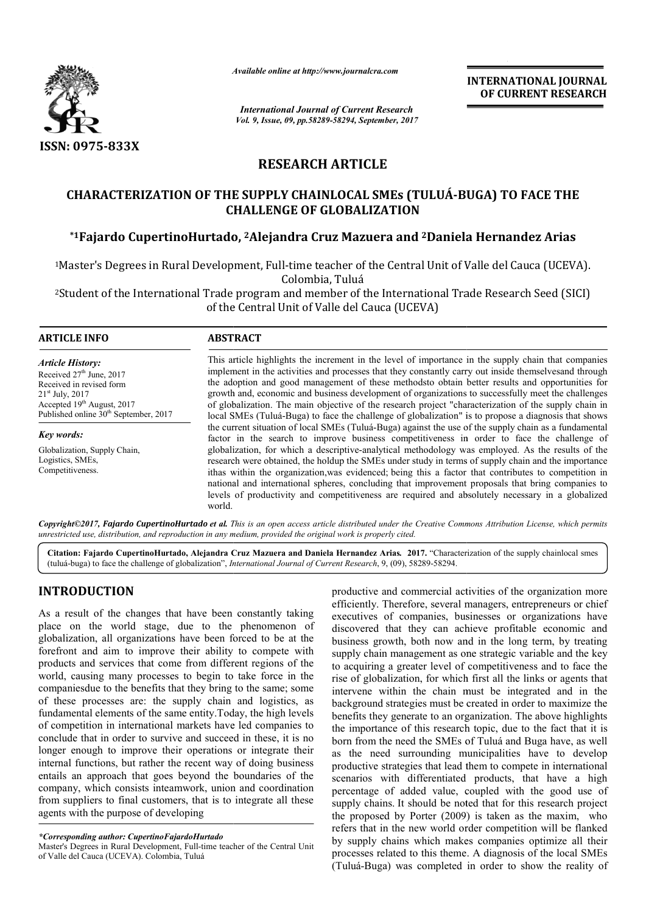

*Available online at http://www.journalcra.com*

*International Journal of Current Research Vol. 9, Issue, 09, pp.58289-58294, September, 2017* **INTERNATIONAL JOURNAL OF CURRENT RESEARCH**

# **RESEARCH ARTICLE**

# CHARACTERIZATION OF THE SUPPLY CHAINLOCAL SMEs (TULUÁ-BUGA) TO FACE THE<br>CHALLENGE OF GLOBALIZATION<br><sup>\*1</sup>Fajardo CupertinoHurtado, <sup>2</sup>Alejandra Cruz Mazuera and <sup>2</sup>Daniela Hernandez Arias **CHALLENGE OF GLOBALIZATION**

## **\*1Fajardo CupertinoHurtado Fajardo CupertinoHurtado, 2Alejandra Cruz Mazuera and 2Daniela Hernandez**

<sup>1</sup>Master's Degrees in Rural Development, Full-time teacher of the Central Unit of Valle del Cauca (UCEVA). Colombia, Tuluá Master's Degrees in Rural Development, Full-time teacher of the Central Unit of Valle del Cauca (UC<br>Colombia, Tuluá<br>Student of the International Trade program and member of the International Trade Research Seed

<sup>2</sup>Student of the International Trade program and member of the International Trade Research Seed (SICI)<br>of the Central Unit of Valle del Cauca (UCEVA) of the Central Unit of Valle del Cauca (UCEVA)

#### **ARTICLE INFO ABSTRACT** This article highlights the increment in the level of importance in the supply chain that companies implement in the activities and processes that they constantly carry out inside themselvesand through the adoption and g good management of these methodsto obtain better results and opportunities for growth and, economic and business development of organizations to successfully meet the challenges of globalization. The main objective of the research project "characterization local SMEs (Tuluá-Buga) to face the challenge of globalization" is to propose a diagnosis that shows the current situation of local SMEs (Tuluá-Buga) against the use of the supply chain as a fundamental factor in the search to improve business competitiveness in order to face the challenge of globalization, for which a descriptive-analytical methodology was employed. research were obtained, the holdup the SMEs under study in terms of supply chain and the importance ithas within the organization,was evidenced; being this a factor that contributes to competition in national and international spheres, concluding that improvement proposals that bring companies to research were obtained, the holdup the SMEs under study in terms of supply chain and the importance ithas within the organization, was evidenced; being this a factor that contributes to competition in national and internat world. *Article History:* Received 27<sup>th</sup> June, 2017 Received in revised form 21st July, 2017 Accepted 19<sup>th</sup> August, 2017 Published online  $30<sup>th</sup>$  September, 2017 *Key words:* Globalization, Supply Chain, Logistics, SMEs, Competitiveness. This article highlights the increment in the level of importance in the supply chain that companies implement in the activities and processes that they constantly carry out inside themselvesand through the adoption and goo Buga) to face the challenge of globalization" is to propose a diagnosis that shows<br>of local SMEs (Tuluá-Buga) against the use of the supply chain as a fundamental<br>ch to improve business competitiveness in order to face the

Copyright©2017, Fajardo CupertinoHurtado et al. This is an open access article distributed under the Creative Commons Attribution License, which permits unrestricted use, distribution, and reproduction in any medium, provided the original work is properly cited.

Citation: Fajardo CupertinoHurtado, Alejandra Cruz Mazuera and Daniela Hernandez Arias. 2017. "Characterization of the supply chainlocal smes (tuluá-buga) to face the challenge of globalization", *International Journal of Current Research* , 9, (09), 58289-58294.

# **INTRODUCTION**

As a result of the changes that have been constantly taking place on the world stage, due to the phenomenon of globalization, all organizations have been forced to be at the forefront and aim to improve their ability to compete with products and services that come from different regions of the world, causing many processes to begin to take force in the companiesdue to the benefits that they bring to the same; some of these processes are: the supply chain and logistics, as fundamental elements of the same entity.Today, the high levels of competition in international markets have led companies to conclude that in order to survive and succeed in these, it is no longer enough to improve their operations or integrate their internal functions, but rather the recent way of doing business entails an approach that goes beyond the boundaries of the company, which consists inteamwork, union and coordination from suppliers to final customers, that is to integrate all these agents with the purpose of developing

**DDUCTION**<br>
productive and commercial activities of the organization more<br>
efficiently. Therefore, several managers, entrepreneurs or chief<br>
entity of the commercial activities of companies, businesses or organizations hav efficiently. Therefore, several managers, entrepreneurs or chief executives of companies, businesses or organizations have discovered that they can achieve profitable economic and business growth, both now and in the long term, by treating supply chain management as one strategic variable and the key to acquiring a greater level of competitiveness and to face the rise of globalization, for which first all the links or agents that intervene within the chain must be integrated and in the background strategies must be created in order to maximize the benefits they generate to an organization. The above highlights the importance of this research topic, due to the fact that it is born from the need the SMEs of Tuluá and Buga have, as well as the need surrounding municipalities have to develop productive strategies that lead them to compete in international scenarios with differentiated products, that have a high percentage of added value, coupled with the good use of supply chains. It should be noted that for this research project the proposed by Porter (2009) is taken as the maxim, who refers that in the new world order competition will be flanked by supply chains which makes companies optimize all their processes related to this theme. A diagnosis of the local SMEs (Tuluá-Buga) was completed in order to show the reality of tive and commercial activities of the organization more<br>tily. Therefore, several managers, entrepreneurs or chief<br>ves of companies, businesses or organizations have<br>red that they can achieve profitable economic and<br>is grow of globalization, for which first all the links or agents that<br>vene within the chain must be integrated and in the<br>iground strategies must be created in order to maximize the rtance of this research topic, due to the fact that it is<br>m the need the SMEs of Tuluá and Buga have, as well<br>need surrounding municipalities have to develop strategies that lead them to compete in international<br>with differentiated products, that have a high<br>of added value, coupled with the good use of<br>ins. It should be noted that for this research project proposed by Porter (2009) is taken as the maxim, who rrs that in the new world order competition will be flanked supply chains which makes companies optimize all their INTERNATIONAL JOURNAL<br>
Research<br>
OF CURRENT RESEARCH<br>
Compler, 2017<br>
The complete complete and the completed in order to show the reality<br>
of the complete in order to the complete and the complete contral Unit of Valle del

*<sup>\*</sup>Corresponding author: CupertinoFajardoHurtado*

Master's Degrees in Rural Development, Full-time teacher of the Central Unit of Valle del Cauca (UCEVA). Colombia, Tuluá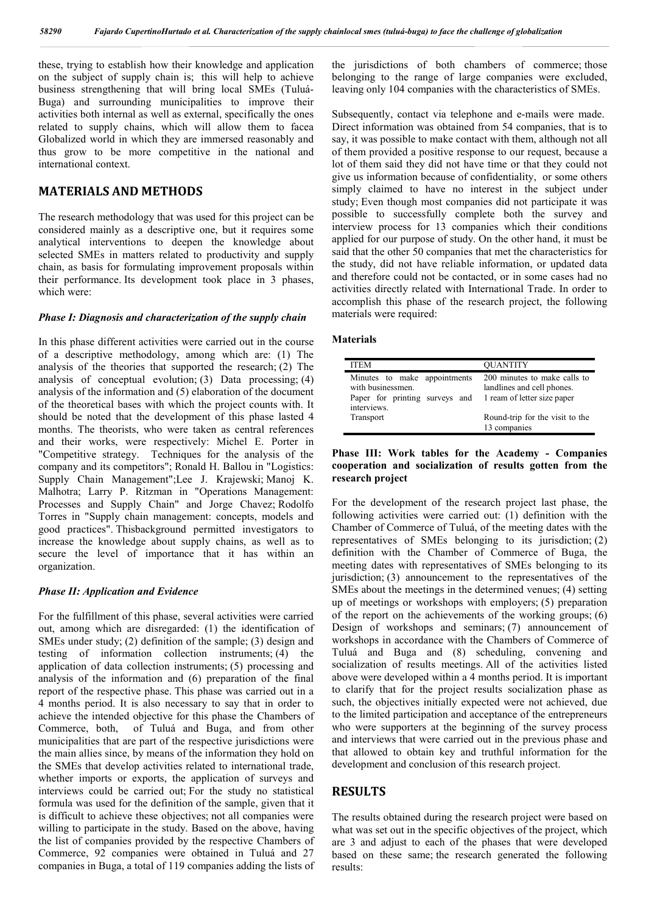these, trying to establish how their knowledge and application on the subject of supply chain is; this will help to achieve business strengthening that will bring local SMEs (Tuluá-Buga) and surrounding municipalities to improve their activities both internal as well as external, specifically the ones related to supply chains, which will allow them to facea Globalized world in which they are immersed reasonably and thus grow to be more competitive in the national and international context.

#### **MATERIALS AND METHODS**

The research methodology that was used for this project can be considered mainly as a descriptive one, but it requires some analytical interventions to deepen the knowledge about selected SMEs in matters related to productivity and supply chain, as basis for formulating improvement proposals within their performance. Its development took place in 3 phases, which were:

#### *Phase I: Diagnosis and characterization of the supply chain*

In this phase different activities were carried out in the course of a descriptive methodology, among which are: (1) The analysis of the theories that supported the research; (2) The analysis of conceptual evolution; (3) Data processing; (4) analysis of the information and (5) elaboration of the document of the theoretical bases with which the project counts with. It should be noted that the development of this phase lasted 4 months. The theorists, who were taken as central references and their works, were respectively: Michel E. Porter in "Competitive strategy. Techniques for the analysis of the company and its competitors"; Ronald H. Ballou in "Logistics: Supply Chain Management";Lee J. Krajewski; Manoj K. Malhotra; Larry P. Ritzman in "Operations Management: Processes and Supply Chain" and Jorge Chavez; Rodolfo Torres in "Supply chain management: concepts, models and good practices". Thisbackground permitted investigators to increase the knowledge about supply chains, as well as to secure the level of importance that it has within an organization.

#### *Phase II: Application and Evidence*

For the fulfillment of this phase, several activities were carried out, among which are disregarded: (1) the identification of SMEs under study; (2) definition of the sample; (3) design and testing of information collection instruments; (4) the application of data collection instruments; (5) processing and analysis of the information and (6) preparation of the final report of the respective phase. This phase was carried out in a 4 months period. It is also necessary to say that in order to achieve the intended objective for this phase the Chambers of Commerce, both, of Tuluá and Buga, and from other municipalities that are part of the respective jurisdictions were the main allies since, by means of the information they hold on the SMEs that develop activities related to international trade, whether imports or exports, the application of surveys and interviews could be carried out; For the study no statistical formula was used for the definition of the sample, given that it is difficult to achieve these objectives; not all companies were willing to participate in the study. Based on the above, having the list of companies provided by the respective Chambers of Commerce, 92 companies were obtained in Tuluá and 27 companies in Buga, a total of 119 companies adding the lists of the jurisdictions of both chambers of commerce; those belonging to the range of large companies were excluded, leaving only 104 companies with the characteristics of SMEs.

Subsequently, contact via telephone and e-mails were made. Direct information was obtained from 54 companies, that is to say, it was possible to make contact with them, although not all of them provided a positive response to our request, because a lot of them said they did not have time or that they could not give us information because of confidentiality, or some others simply claimed to have no interest in the subject under study; Even though most companies did not participate it was possible to successfully complete both the survey and interview process for 13 companies which their conditions applied for our purpose of study. On the other hand, it must be said that the other 50 companies that met the characteristics for the study, did not have reliable information, or updated data and therefore could not be contacted, or in some cases had no activities directly related with International Trade. In order to accomplish this phase of the research project, the following materials were required:

#### **Materials**

| <b>ITEM</b>                                                                                                                    | <b>OUANTITY</b>                                            |
|--------------------------------------------------------------------------------------------------------------------------------|------------------------------------------------------------|
| Minutes to make appointments<br>with businessmen.<br>Paper for printing surveys and 1 ream of letter size paper<br>interviews. | 200 minutes to make calls to<br>landlines and cell phones. |
| Transport                                                                                                                      | Round-trip for the visit to the<br>13 companies            |

#### **Phase III: Work tables for the Academy - Companies cooperation and socialization of results gotten from the research project**

For the development of the research project last phase, the following activities were carried out: (1) definition with the Chamber of Commerce of Tuluá, of the meeting dates with the representatives of SMEs belonging to its jurisdiction; (2) definition with the Chamber of Commerce of Buga, the meeting dates with representatives of SMEs belonging to its jurisdiction; (3) announcement to the representatives of the SMEs about the meetings in the determined venues; (4) setting up of meetings or workshops with employers; (5) preparation of the report on the achievements of the working groups; (6) Design of workshops and seminars; (7) announcement of workshops in accordance with the Chambers of Commerce of Tuluá and Buga and (8) scheduling, convening and socialization of results meetings. All of the activities listed above were developed within a 4 months period. It is important to clarify that for the project results socialization phase as such, the objectives initially expected were not achieved, due to the limited participation and acceptance of the entrepreneurs who were supporters at the beginning of the survey process and interviews that were carried out in the previous phase and that allowed to obtain key and truthful information for the development and conclusion of this research project.

### **RESULTS**

The results obtained during the research project were based on what was set out in the specific objectives of the project, which are 3 and adjust to each of the phases that were developed based on these same; the research generated the following results: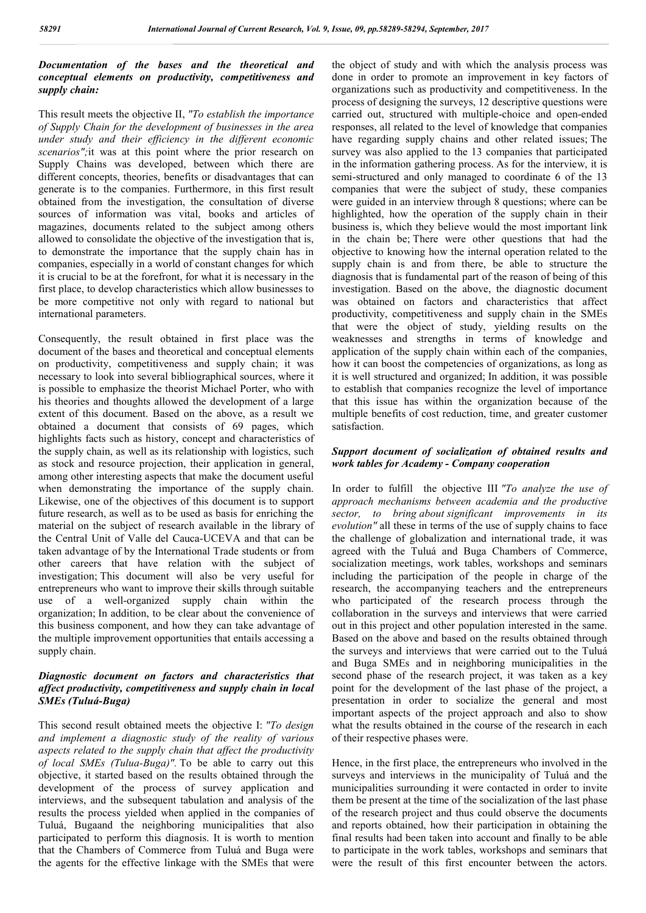#### *Documentation of the bases and the theoretical and conceptual elements on productivity, competitiveness and supply chain:*

This result meets the objective II, *"To establish the importance of Supply Chain for the development of businesses in the area under study and their efficiency in the different economic scenarios";*it was at this point where the prior research on Supply Chains was developed, between which there are different concepts, theories, benefits or disadvantages that can generate is to the companies. Furthermore, in this first result obtained from the investigation, the consultation of diverse sources of information was vital, books and articles of magazines, documents related to the subject among others allowed to consolidate the objective of the investigation that is, to demonstrate the importance that the supply chain has in companies, especially in a world of constant changes for which it is crucial to be at the forefront, for what it is necessary in the first place, to develop characteristics which allow businesses to be more competitive not only with regard to national but international parameters.

Consequently, the result obtained in first place was the document of the bases and theoretical and conceptual elements on productivity, competitiveness and supply chain; it was necessary to look into several bibliographical sources, where it is possible to emphasize the theorist Michael Porter, who with his theories and thoughts allowed the development of a large extent of this document. Based on the above, as a result we obtained a document that consists of 69 pages, which highlights facts such as history, concept and characteristics of the supply chain, as well as its relationship with logistics, such as stock and resource projection, their application in general, among other interesting aspects that make the document useful when demonstrating the importance of the supply chain. Likewise, one of the objectives of this document is to support future research, as well as to be used as basis for enriching the material on the subject of research available in the library of the Central Unit of Valle del Cauca-UCEVA and that can be taken advantage of by the International Trade students or from other careers that have relation with the subject of investigation; This document will also be very useful for entrepreneurs who want to improve their skills through suitable use of a well-organized supply chain within the organization; In addition, to be clear about the convenience of this business component, and how they can take advantage of the multiple improvement opportunities that entails accessing a supply chain.

#### *Diagnostic document on factors and characteristics that affect productivity, competitiveness and supply chain in local SMEs (Tuluá-Buga)*

This second result obtained meets the objective I: *"To design and implement a diagnostic study of the reality of various aspects related to the supply chain that affect the productivity of local SMEs (Tulua-Buga)".* To be able to carry out this objective, it started based on the results obtained through the development of the process of survey application and interviews, and the subsequent tabulation and analysis of the results the process yielded when applied in the companies of Tuluá, Bugaand the neighboring municipalities that also participated to perform this diagnosis. It is worth to mention that the Chambers of Commerce from Tuluá and Buga were the agents for the effective linkage with the SMEs that were

the object of study and with which the analysis process was done in order to promote an improvement in key factors of organizations such as productivity and competitiveness. In the process of designing the surveys, 12 descriptive questions were carried out, structured with multiple-choice and open-ended responses, all related to the level of knowledge that companies have regarding supply chains and other related issues; The survey was also applied to the 13 companies that participated in the information gathering process. As for the interview, it is semi-structured and only managed to coordinate 6 of the 13 companies that were the subject of study, these companies were guided in an interview through 8 questions; where can be highlighted, how the operation of the supply chain in their business is, which they believe would the most important link in the chain be; There were other questions that had the objective to knowing how the internal operation related to the supply chain is and from there, be able to structure the diagnosis that is fundamental part of the reason of being of this investigation. Based on the above, the diagnostic document was obtained on factors and characteristics that affect productivity, competitiveness and supply chain in the SMEs that were the object of study, yielding results on the weaknesses and strengths in terms of knowledge and application of the supply chain within each of the companies, how it can boost the competencies of organizations, as long as it is well structured and organized; In addition, it was possible to establish that companies recognize the level of importance that this issue has within the organization because of the multiple benefits of cost reduction, time, and greater customer satisfaction.

#### *Support document of socialization of obtained results and work tables for Academy - Company cooperation*

In order to fulfill the objective III *"To analyze the use of approach mechanisms between academia and the productive sector, to bring about significant improvements in its evolution"* all these in terms of the use of supply chains to face the challenge of globalization and international trade, it was agreed with the Tuluá and Buga Chambers of Commerce, socialization meetings, work tables, workshops and seminars including the participation of the people in charge of the research, the accompanying teachers and the entrepreneurs who participated of the research process through the collaboration in the surveys and interviews that were carried out in this project and other population interested in the same. Based on the above and based on the results obtained through the surveys and interviews that were carried out to the Tuluá and Buga SMEs and in neighboring municipalities in the second phase of the research project, it was taken as a key point for the development of the last phase of the project, a presentation in order to socialize the general and most important aspects of the project approach and also to show what the results obtained in the course of the research in each of their respective phases were.

Hence, in the first place, the entrepreneurs who involved in the surveys and interviews in the municipality of Tuluá and the municipalities surrounding it were contacted in order to invite them be present at the time of the socialization of the last phase of the research project and thus could observe the documents and reports obtained, how their participation in obtaining the final results had been taken into account and finally to be able to participate in the work tables, workshops and seminars that were the result of this first encounter between the actors.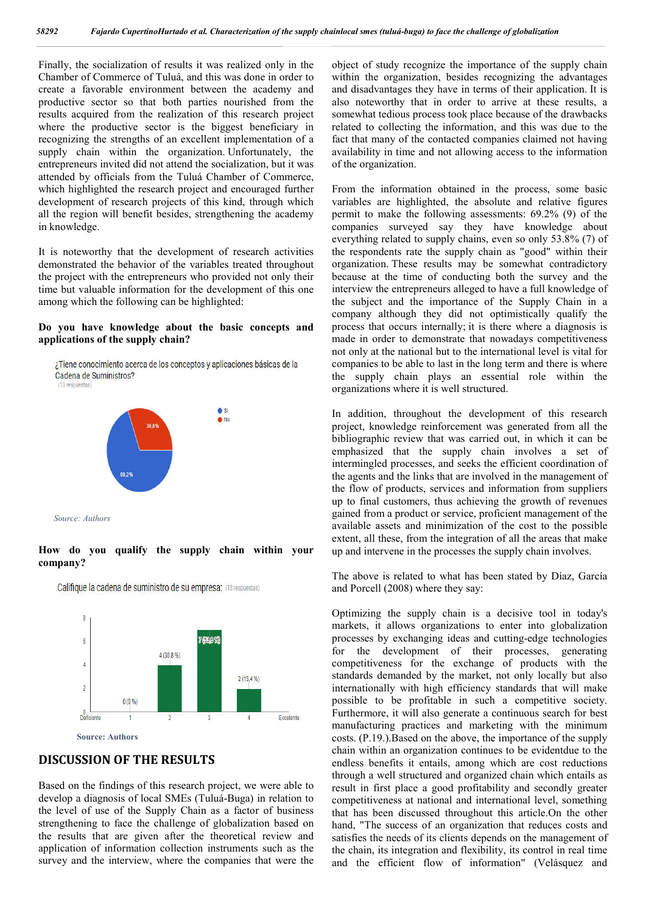Finally, the socialization of results it was realized only in the Chamber of Commerce of Tuluá, and this was done in order to create a favorable environment between the academy and productive sector so that both parties nourished from the results acquired from the realization of this research project where the productive sector is the biggest beneficiary in recognizing the strengths of an excellent implementation of a supply chain within the organization. Unfortunately, the entrepreneurs invited did not attend the socialization, but it was attended by officials from the Tuluá Chamber of Commerce, which highlighted the research project and encouraged further development of research projects of this kind, through which all the region will benefit besides, strengthening the academy in knowledge.

It is noteworthy that the development of research activities demonstrated the behavior of the variables treated throughout the project with the entrepreneurs who provided not only their time but valuable information for the development of this one among which the following can be highlighted:

#### **Do you have knowledge about the basic concepts and applications of the supply chain?**



*Source: Authors*

**How do you qualify the supply chain within your company?**



Califique la cadena de suministro de su empresa: (13 respuestas)

# **DISCUSSION OF THE RESULTS**

Based on the findings of this research project, we were able to develop a diagnosis of local SMEs (Tuluá-Buga) in relation to the level of use of the Supply Chain as a factor of business strengthening to face the challenge of globalization based on the results that are given after the theoretical review and application of information collection instruments such as the survey and the interview, where the companies that were the

object of study recognize the importance of the supply chain within the organization, besides recognizing the advantages and disadvantages they have in terms of their application. It is also noteworthy that in order to arrive at these results, a somewhat tedious process took place because of the drawbacks related to collecting the information, and this was due to the fact that many of the contacted companies claimed not having availability in time and not allowing access to the information of the organization.

From the information obtained in the process, some basic variables are highlighted, the absolute and relative figures permit to make the following assessments: 69.2% (9) of the companies surveyed say they have knowledge about everything related to supply chains, even so only 53.8% (7) of the respondents rate the supply chain as "good" within their organization. These results may be somewhat contradictory because at the time of conducting both the survey and the interview the entrepreneurs alleged to have a full knowledge of the subject and the importance of the Supply Chain in a company although they did not optimistically qualify the process that occurs internally; it is there where a diagnosis is made in order to demonstrate that nowadays competitiveness not only at the national but to the international level is vital for companies to be able to last in the long term and there is where the supply chain plays an essential role within the organizations where it is well structured.

In addition, throughout the development of this research project, knowledge reinforcement was generated from all the bibliographic review that was carried out, in which it can be emphasized that the supply chain involves a set of intermingled processes, and seeks the efficient coordination of the agents and the links that are involved in the management of the flow of products, services and information from suppliers up to final customers, thus achieving the growth of revenues gained from a product or service, proficient management of the available assets and minimization of the cost to the possible extent, all these, from the integration of all the areas that make up and intervene in the processes the supply chain involves.

The above is related to what has been stated by Díaz, García and Porcell (2008) where they say:

Optimizing the supply chain is a decisive tool in today's markets, it allows organizations to enter into globalization processes by exchanging ideas and cutting-edge technologies for the development of their processes, generating competitiveness for the exchange of products with the standards demanded by the market, not only locally but also internationally with high efficiency standards that will make possible to be profitable in such a competitive society. Furthermore, it will also generate a continuous search for best manufacturing practices and marketing with the minimum costs. (P.19.).Based on the above, the importance of the supply chain within an organization continues to be evidentdue to the endless benefits it entails, among which are cost reductions through a well structured and organized chain which entails as result in first place a good profitability and secondly greater competitiveness at national and international level, something that has been discussed throughout this article.On the other hand, "The success of an organization that reduces costs and satisfies the needs of its clients depends on the management of the chain, its integration and flexibility, its control in real time and the efficient flow of information" (Velásquez and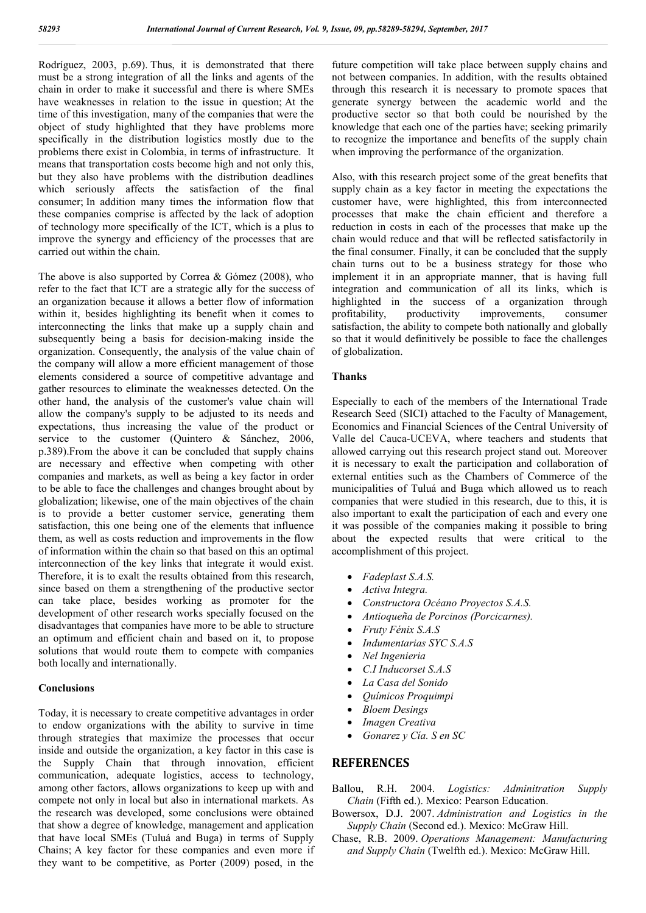Rodríguez, 2003, p.69). Thus, it is demonstrated that there must be a strong integration of all the links and agents of the chain in order to make it successful and there is where SMEs have weaknesses in relation to the issue in question; At the time of this investigation, many of the companies that were the object of study highlighted that they have problems more specifically in the distribution logistics mostly due to the problems there exist in Colombia, in terms of infrastructure. It means that transportation costs become high and not only this, but they also have problems with the distribution deadlines which seriously affects the satisfaction of the final consumer; In addition many times the information flow that these companies comprise is affected by the lack of adoption of technology more specifically of the ICT, which is a plus to improve the synergy and efficiency of the processes that are carried out within the chain.

The above is also supported by Correa & Gómez (2008), who refer to the fact that ICT are a strategic ally for the success of an organization because it allows a better flow of information within it, besides highlighting its benefit when it comes to interconnecting the links that make up a supply chain and subsequently being a basis for decision-making inside the organization. Consequently, the analysis of the value chain of the company will allow a more efficient management of those elements considered a source of competitive advantage and gather resources to eliminate the weaknesses detected. On the other hand, the analysis of the customer's value chain will allow the company's supply to be adjusted to its needs and expectations, thus increasing the value of the product or service to the customer (Quintero & Sánchez, 2006, p.389).From the above it can be concluded that supply chains are necessary and effective when competing with other companies and markets, as well as being a key factor in order to be able to face the challenges and changes brought about by globalization; likewise, one of the main objectives of the chain is to provide a better customer service, generating them satisfaction, this one being one of the elements that influence them, as well as costs reduction and improvements in the flow of information within the chain so that based on this an optimal interconnection of the key links that integrate it would exist. Therefore, it is to exalt the results obtained from this research, since based on them a strengthening of the productive sector can take place, besides working as promoter for the development of other research works specially focused on the disadvantages that companies have more to be able to structure an optimum and efficient chain and based on it, to propose solutions that would route them to compete with companies both locally and internationally.

#### **Conclusions**

Today, it is necessary to create competitive advantages in order to endow organizations with the ability to survive in time through strategies that maximize the processes that occur inside and outside the organization, a key factor in this case is the Supply Chain that through innovation, efficient communication, adequate logistics, access to technology, among other factors, allows organizations to keep up with and compete not only in local but also in international markets. As the research was developed, some conclusions were obtained that show a degree of knowledge, management and application that have local SMEs (Tuluá and Buga) in terms of Supply Chains; A key factor for these companies and even more if they want to be competitive, as Porter (2009) posed, in the

future competition will take place between supply chains and not between companies. In addition, with the results obtained through this research it is necessary to promote spaces that generate synergy between the academic world and the productive sector so that both could be nourished by the knowledge that each one of the parties have; seeking primarily to recognize the importance and benefits of the supply chain when improving the performance of the organization.

Also, with this research project some of the great benefits that supply chain as a key factor in meeting the expectations the customer have, were highlighted, this from interconnected processes that make the chain efficient and therefore a reduction in costs in each of the processes that make up the chain would reduce and that will be reflected satisfactorily in the final consumer. Finally, it can be concluded that the supply chain turns out to be a business strategy for those who implement it in an appropriate manner, that is having full integration and communication of all its links, which is highlighted in the success of a organization through profitability, productivity improvements, consumer satisfaction, the ability to compete both nationally and globally so that it would definitively be possible to face the challenges of globalization.

#### **Thanks**

Especially to each of the members of the International Trade Research Seed (SICI) attached to the Faculty of Management, Economics and Financial Sciences of the Central University of Valle del Cauca-UCEVA, where teachers and students that allowed carrying out this research project stand out. Moreover it is necessary to exalt the participation and collaboration of external entities such as the Chambers of Commerce of the municipalities of Tuluá and Buga which allowed us to reach companies that were studied in this research, due to this, it is also important to exalt the participation of each and every one it was possible of the companies making it possible to bring about the expected results that were critical to the accomplishment of this project.

- *Fadeplast S.A.S.*
- *Activa Integra.*
- *Constructora Océano Proyectos S.A.S.*
- *Antioqueña de Porcinos (Porcicarnes).*
- *Fruty Fénix S.A.S*
- *Indumentarias SYC S.A.S*
- *Nel Ingenieria*
- *C.I Inducorset S.A.S*
- *La Casa del Sonido*
- *Químicos Proquimpi*
- *Bloem Desings*
- *Imagen Creativa*
- *Gonarez y Cía. S en SC*

#### **REFERENCES**

- Ballou, R.H. 2004. *Logistics: Adminitration Supply Chain* (Fifth ed.). Mexico: Pearson Education.
- Bowersox, D.J. 2007. *Administration and Logistics in the Supply Chain* (Second ed.). Mexico: McGraw Hill.
- Chase, R.B. 2009. *Operations Management: Manufacturing and Supply Chain* (Twelfth ed.). Mexico: McGraw Hill.